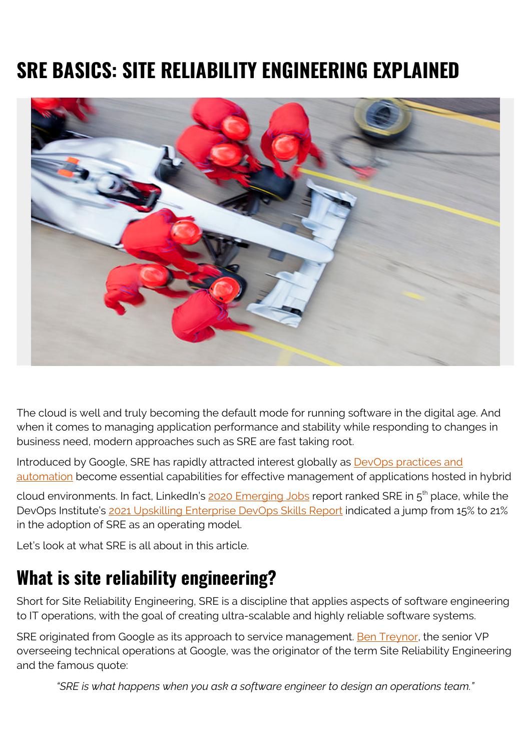# **SRE BASICS: SITE RELIABILITY ENGINEERING EXPLAINED**



The cloud is well and truly becoming the default mode for running software in the digital age. And when it comes to managing application performance and stability while responding to changes in business need, modern approaches such as SRE are fast taking root.

Introduced by Google, SRE has rapidly attracted interest globally as **[DevOps practices and](https://blogs.bmc.com/blogs/automation-in-devops/)** [automation](https://blogs.bmc.com/blogs/automation-in-devops/) become essential capabilities for effective management of applications hosted in hybrid

cloud environments. In fact, LinkedIn's [2020 Emerging Jobs](https://business.linkedin.com/content/dam/me/business/en-us/talent-solutions/emerging-jobs-report/Emerging_Jobs_Report_U.S._FINAL.pdf) report ranked SRE in 5<sup>th</sup> place, while the DevOps Institute's [2021 Upskilling Enterprise DevOps Skills Report](https://info.devopsinstitute.com/2021-upskilling-report-download) indicated a jump from 15% to 21% in the adoption of SRE as an operating model.

Let's look at what SRE is all about in this article.

### **What is site reliability engineering?**

Short for Site Reliability Engineering, SRE is a discipline that applies aspects of software engineering to IT operations, with the goal of creating ultra-scalable and highly reliable software systems.

SRE originated from Google as its approach to service management. [Ben Treynor,](https://sre.google/sre-book/introduction/) the senior VP overseeing technical operations at Google, was the originator of the term Site Reliability Engineering and the famous quote:

*"SRE is what happens when you ask a software engineer to design an operations team."*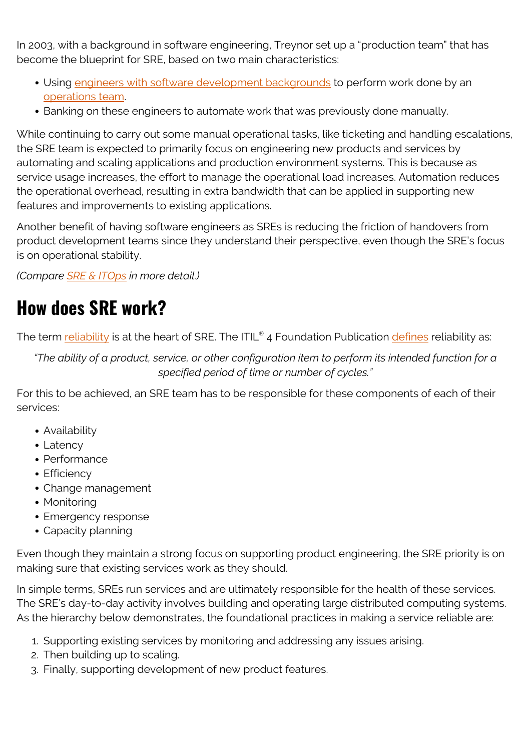In 2003, with a background in software engineering, Treynor set up a "production team" that has become the blueprint for SRE, based on two main characteristics:

- Using [engineers with software development backgrounds](https://blogs.bmc.com/blogs/application-engineer-roles-and-responsibilities/) to perform work done by an [operations team](https://blogs.bmc.com/blogs/it-teams/).
- Banking on these engineers to automate work that was previously done manually.

While continuing to carry out some manual operational tasks, like ticketing and handling escalations, the SRE team is expected to primarily focus on engineering new products and services by automating and scaling applications and production environment systems. This is because as service usage increases, the effort to manage the operational load increases. Automation reduces the operational overhead, resulting in extra bandwidth that can be applied in supporting new features and improvements to existing applications.

Another benefit of having software engineers as SREs is reducing the friction of handovers from product development teams since they understand their perspective, even though the SRE's focus is on operational stability.

*(Compare [SRE & ITOps](https://blogs.bmc.com/blogs/sre-vs-itops/) in more detail.)*

## **How does SRE work?**

The term <u>reliability</u> is at the heart of SRE. The ITIL® 4 Foundation Publication <u>defines</u> [reliability](https://blogs.bmc.com/blogs/system-reliability-availability-calculations/) as:

*"The ability of a product, service, or other configuration item to perform its intended function for a specified period of time or number of cycles."*

For this to be achieved, an SRE team has to be responsible for these components of each of their services:

- Availability
- Latency
- Performance
- Efficiency
- Change management
- Monitoring
- Emergency response
- Capacity planning

Even though they maintain a strong focus on supporting product engineering, the SRE priority is on making sure that existing services work as they should.

In simple terms, SREs run services and are ultimately responsible for the health of these services. The SRE's day-to-day activity involves building and operating large distributed computing systems. As the hierarchy below demonstrates, the foundational practices in making a service reliable are:

- 1. Supporting existing services by monitoring and addressing any issues arising.
- 2. Then building up to scaling.
- 3. Finally, supporting development of new product features.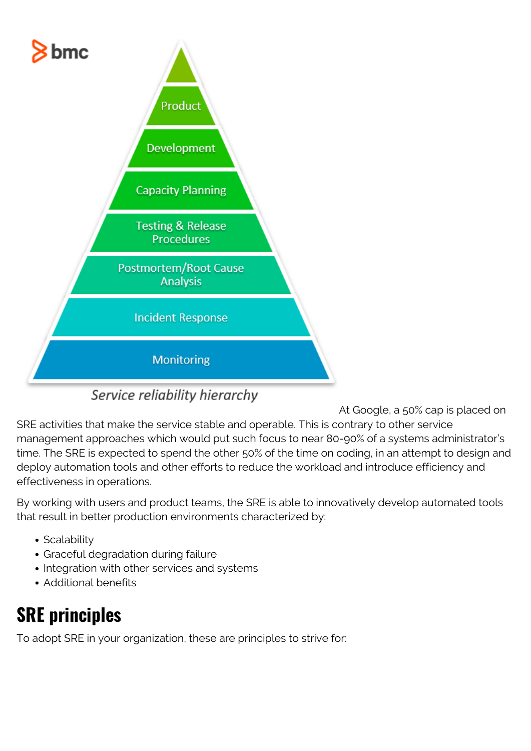

Service reliability hierarchy

At Google, a 50% cap is placed on SRE activities that make the service stable and operable. This is contrary to other service management approaches which would put such focus to near 80-90% of a systems administrator's time. The SRE is expected to spend the other 50% of the time on coding, in an attempt to design and deploy automation tools and other efforts to reduce the workload and introduce efficiency and effectiveness in operations.

By working with users and product teams, the SRE is able to innovatively develop automated tools that result in better production environments characterized by:

- Scalability
- Graceful degradation during failure
- Integration with other services and systems
- Additional benefits

## **SRE principles**

To adopt SRE in your organization, these are principles to strive for: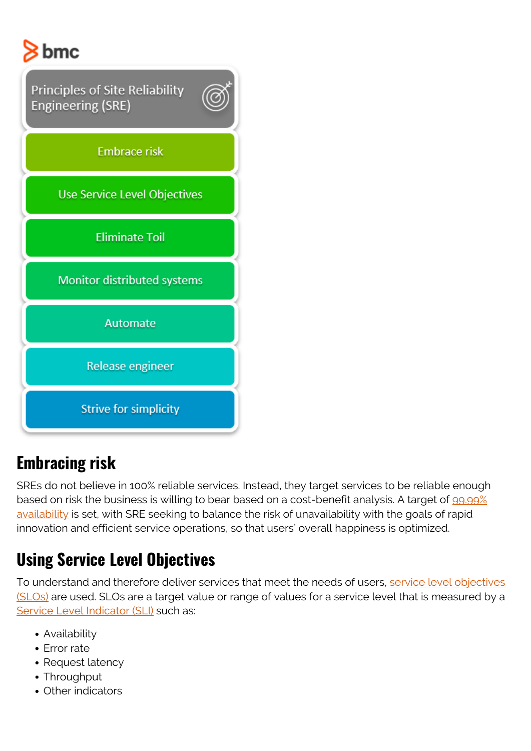# $8$  bmc



### **Embracing risk**

SREs do not believe in 100% reliable services. Instead, they target services to be reliable enough based on risk the business is willing to bear based on a cost-benefit analysis. A target of [99.99%](https://blogs.bmc.com/blogs/service-availability-calculation-metrics/) [availability](https://blogs.bmc.com/blogs/service-availability-calculation-metrics/) is set, with SRE seeking to balance the risk of unavailability with the goals of rapid innovation and efficient service operations, so that users' overall happiness is optimized.

### **Using Service Level Objectives**

To understand and therefore deliver services that meet the needs of users, [service level objectives](https://blogs.bmc.com/blogs/slo-service-level-objectives/) [\(SLOs\)](https://blogs.bmc.com/blogs/slo-service-level-objectives/) are used. SLOs are a target value or range of values for a service level that is measured by a [Service Level Indicator \(SLI\)](https://blogs.bmc.com/blogs/service-level-indicator-metrics/) such as:

- Availability
- Error rate
- Request latency
- Throughput
- Other indicators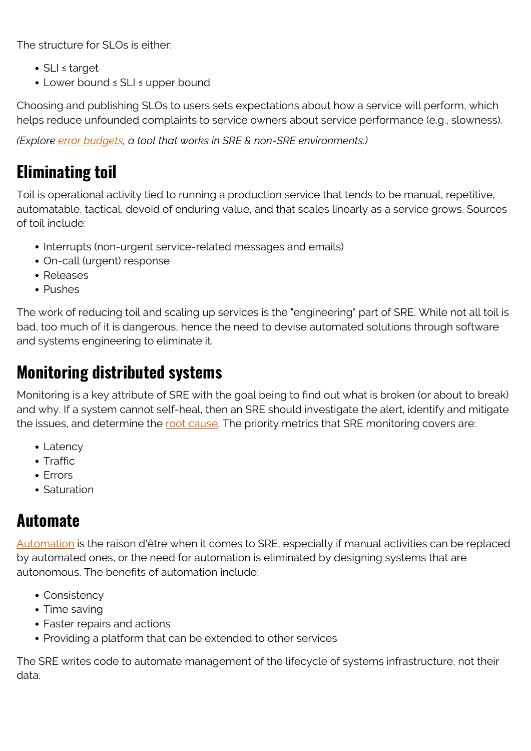The structure for SLOs is either:

- SLI ≤ target
- Lower bound ≤ SLI ≤ upper bound

Choosing and publishing SLOs to users sets expectations about how a service will perform, which helps reduce unfounded complaints to service owners about service performance (e.g., slowness).

*(Explore [error budgets](https://blogs.bmc.com/blogs/error-budgets/), a tool that works in SRE & non-SRE environments.)*

### **Eliminating toil**

Toil is operational activity tied to running a production service that tends to be manual, repetitive, automatable, tactical, devoid of enduring value, and that scales linearly as a service grows. Sources of toil include:

- Interrupts (non-urgent service-related messages and emails)
- On-call (urgent) response
- Releases
- Pushes

The work of reducing toil and scaling up services is the "engineering" part of SRE. While not all toil is bad, too much of it is dangerous, hence the need to devise automated solutions through software and systems engineering to eliminate it.

#### **Monitoring distributed systems**

Monitoring is a key attribute of SRE with the goal being to find out what is broken (or about to break) and why. If a system cannot self-heal, then an SRE should investigate the alert, identify and mitigate the issues, and determine the <u>[root cause](https://blogs.bmc.com/blogs/root-cause-analysis/)</u>. The priority metrics that SRE monitoring covers are:

- Latency
- Traffic
- Frrors
- Saturation

#### **Automate**

[Automation](https://blogs.bmc.com/blogs/it-automation/) is the raison d'être when it comes to SRE, especially if manual activities can be replaced by automated ones, or the need for automation is eliminated by designing systems that are autonomous. The benefits of automation include:

- Consistency
- Time saving
- Faster repairs and actions
- Providing a platform that can be extended to other services

The SRE writes code to automate management of the lifecycle of systems infrastructure, not their data.